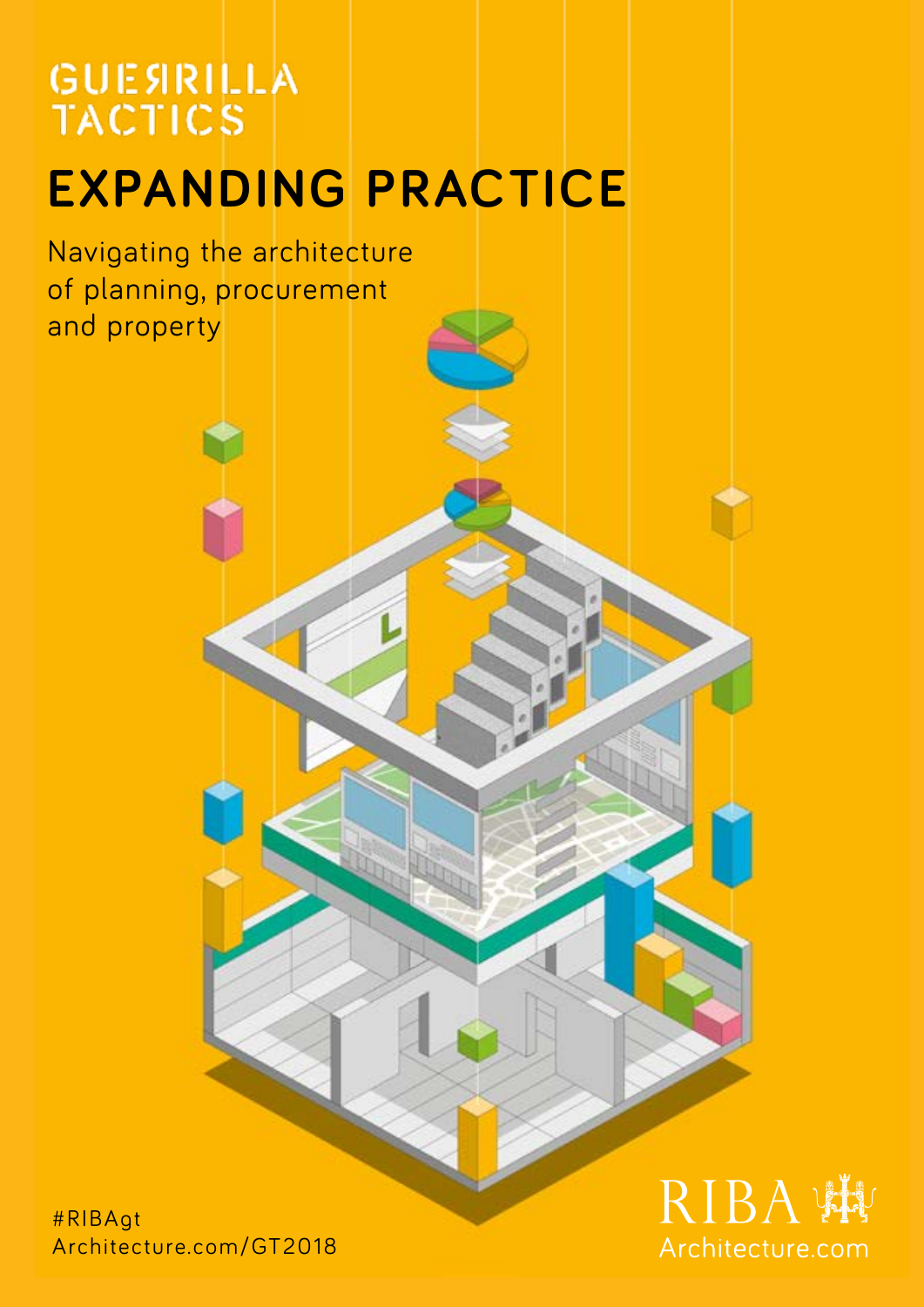# **GUESRILLA TACTICS**

# **EXPANDING PRACTICE**

Navigating the architecture of planning, procurement and property

#RIBAgt Architecture.com/GT2018

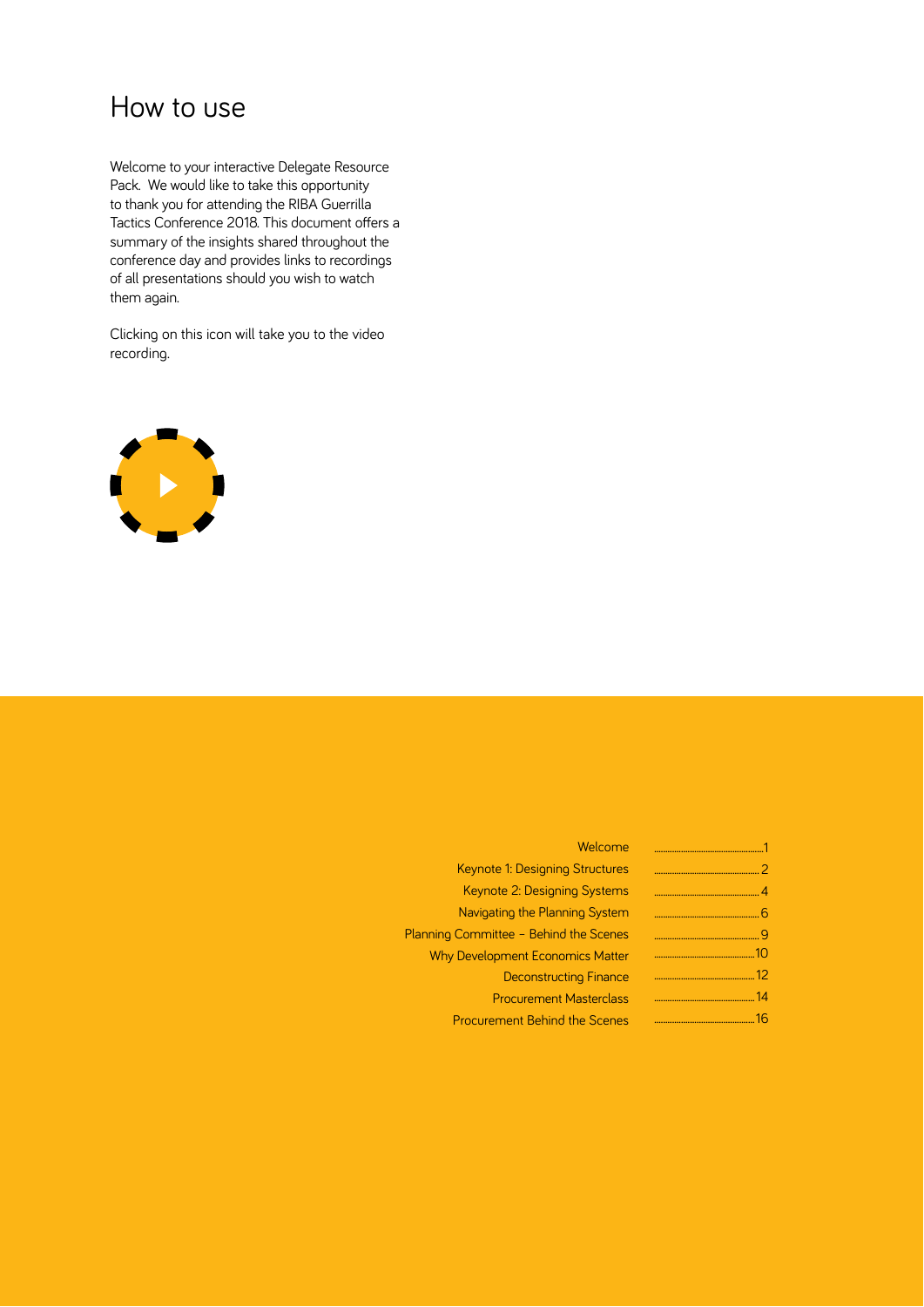# How to use

Welcome to your interactive Delegate Resource Pack. We would like to take this opportunity to thank you for attending the RIBA Guerrilla Tactics Conference 2018. This document offers a summary of the insights shared throughout the conference day and provides links to recordings of all presentations should you wish to watch them again.

Clicking on this icon will take you to the video recording.



|    | Welcome                                 |
|----|-----------------------------------------|
|    | Keynote 1: Designing Structures         |
|    | Keynote 2: Designing Systems            |
|    | Navigating the Planning System          |
|    | Planning Committee - Behind the Scenes  |
|    | <b>Why Development Economics Matter</b> |
|    | <b>Deconstructing Finance</b>           |
| 14 | <b>Procurement Masterclass</b>          |
| 16 | <b>Procurement Behind the Scenes</b>    |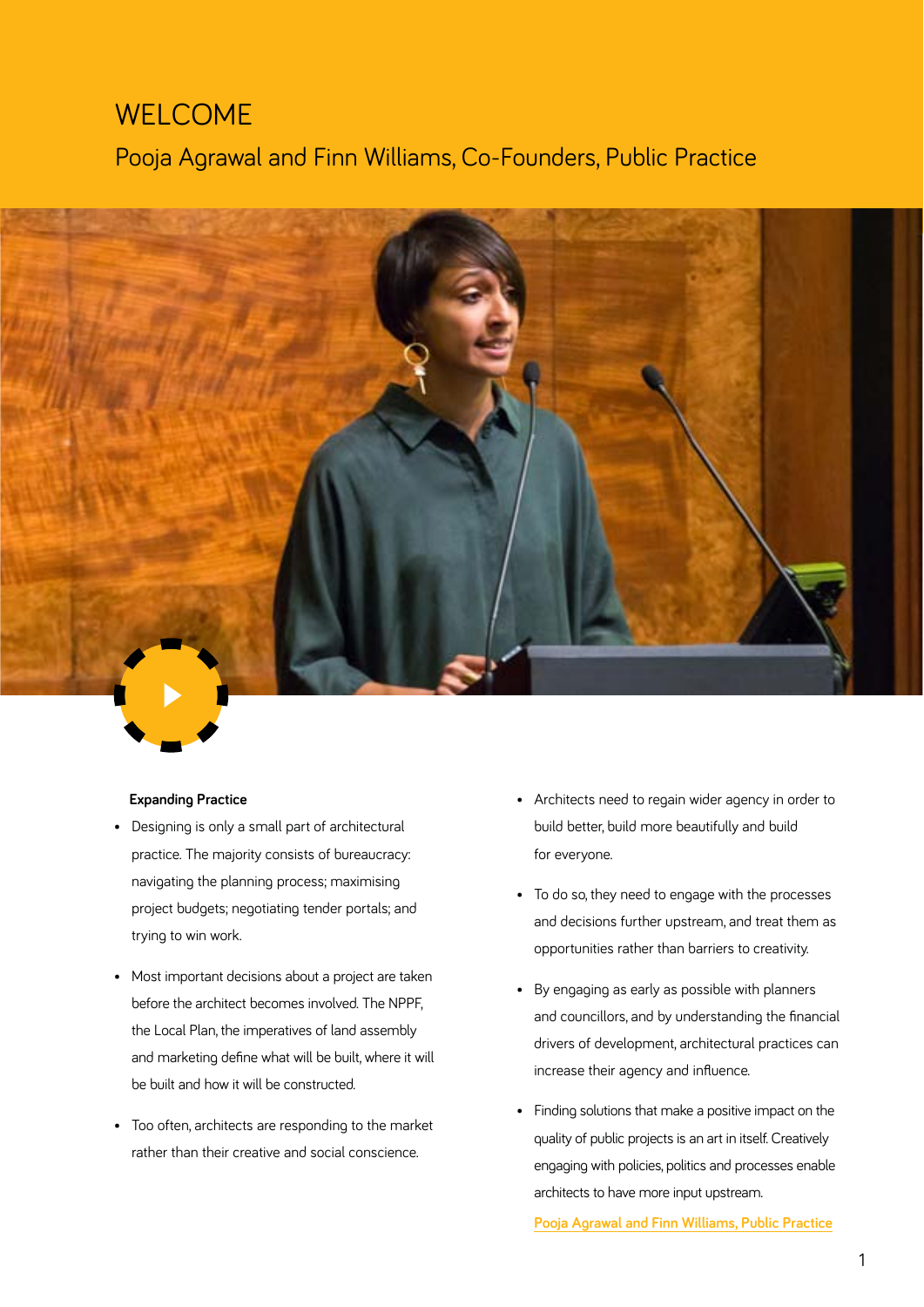# WELCOME

Pooja Agrawal and Finn Williams, Co-Founders, Public Practice



#### **Expanding Practice**

- Designing is only a small part of architectural practice. The majority consists of bureaucracy: navigating the planning process; maximising project budgets; negotiating tender portals; and trying to win work.
- Most important decisions about a project are taken before the architect becomes involved. The NPPF, the Local Plan, the imperatives of land assembly and marketing define what will be built, where it will be built and how it will be constructed.
- Too often, architects are responding to the market rather than their creative and social conscience.
- Architects need to regain wider agency in order to build better, build more beautifully and build for everyone.
- To do so, they need to engage with the processes and decisions further upstream, and treat them as opportunities rather than barriers to creativity.
- By engaging as early as possible with planners and councillors, and by understanding the financial drivers of development, architectural practices can increase their agency and influence.
- Finding solutions that make a positive impact on the quality of public projects is an art in itself. Creatively engaging with policies, politics and processes enable architects to have more input upstream.

**[Pooja Agrawal and Finn Williams, Public Practice](https://riba.box.com/s/0tf33d2rcrmzkd1j6phrp17onnfuqr6j)**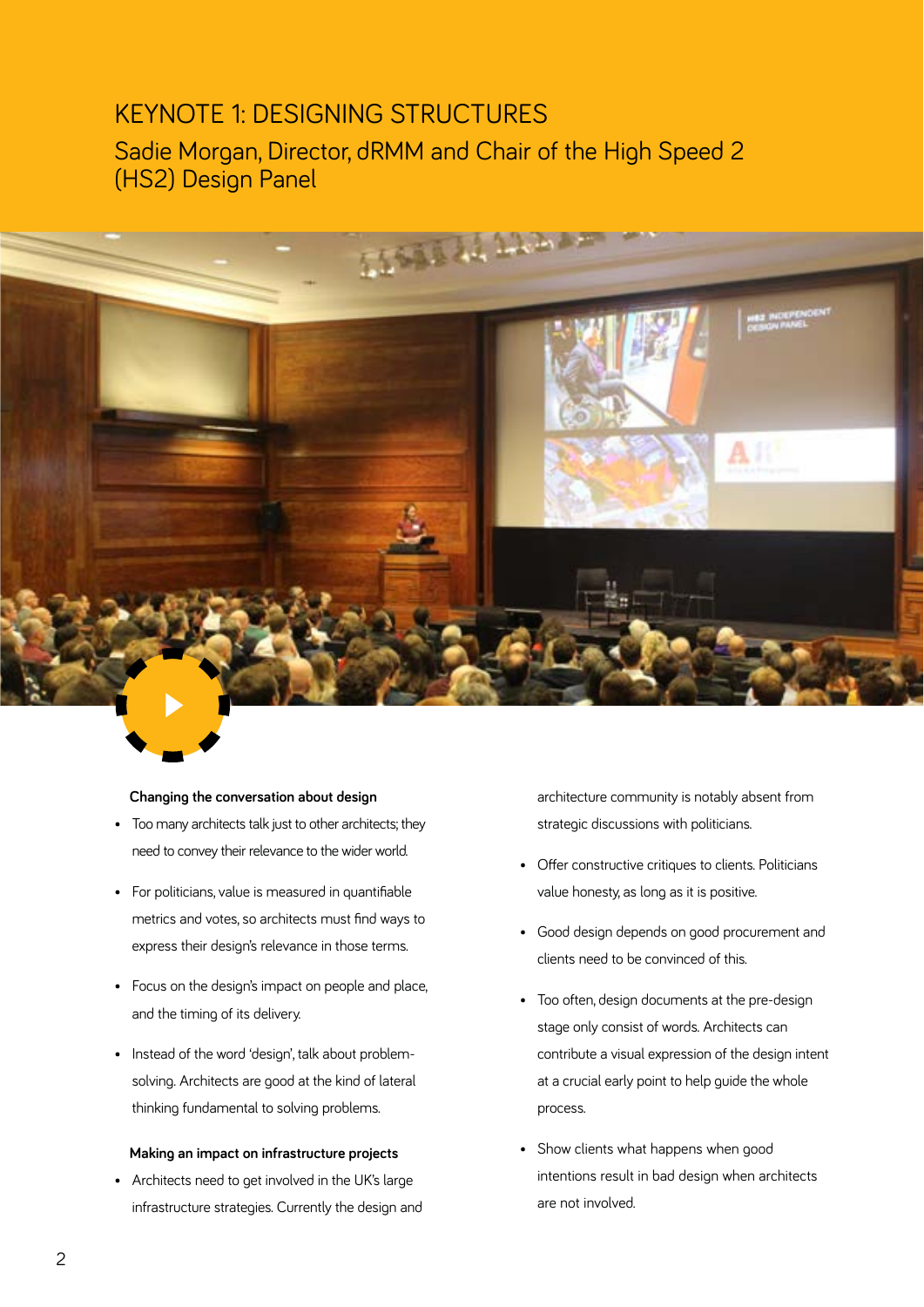## KEYNOTE 1: DESIGNING STRUCTURES

Sadie Morgan, Director, dRMM and Chair of the High Speed 2 (HS2) Design Panel



#### **Changing the conversation about design**

- Too many architects talk just to other architects; they need to convey their relevance to the wider world.
- For politicians, value is measured in quantifiable metrics and votes, so architects must find ways to express their design's relevance in those terms.
- Focus on the design's impact on people and place, and the timing of its delivery.
- Instead of the word 'design', talk about problemsolving. Architects are good at the kind of lateral thinking fundamental to solving problems.

#### **Making an impact on infrastructure projects**

• Architects need to get involved in the UK's large infrastructure strategies. Currently the design and architecture community is notably absent from strategic discussions with politicians.

- Offer constructive critiques to clients. Politicians value honesty, as long as it is positive.
- Good design depends on good procurement and clients need to be convinced of this.
- Too often, design documents at the pre-design stage only consist of words. Architects can contribute a visual expression of the design intent at a crucial early point to help guide the whole process.
- Show clients what happens when good intentions result in bad design when architects are not involved.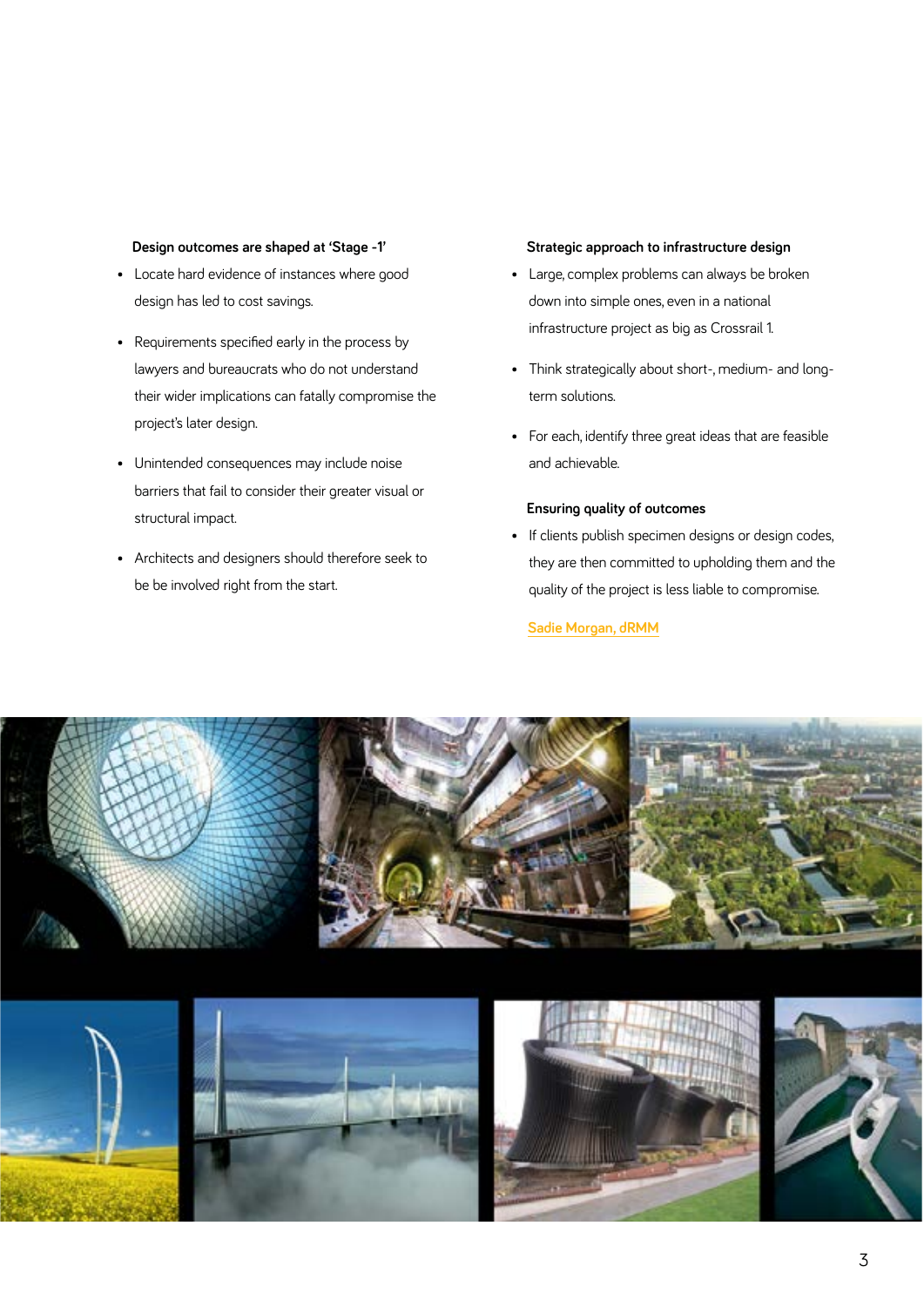#### **Design outcomes are shaped at 'Stage -1'**

- Locate hard evidence of instances where good design has led to cost savings.
- Requirements specified early in the process by lawyers and bureaucrats who do not understand their wider implications can fatally compromise the project's later design.
- Unintended consequences may include noise barriers that fail to consider their greater visual or structural impact.
- Architects and designers should therefore seek to be be involved right from the start.

#### **Strategic approach to infrastructure design**

- Large, complex problems can always be broken down into simple ones, even in a national infrastructure project as big as Crossrail 1.
- Think strategically about short-, medium- and longterm solutions.
- For each, identify three great ideas that are feasible and achievable.

#### **Ensuring quality of outcomes**

• If clients publish specimen designs or design codes, they are then committed to upholding them and the quality of the project is less liable to compromise.

**[Sadie Morgan, dRMM](https://riba.box.com/s/rifdaa0hbkd76hj6bea44e1o8u1xta7r)**



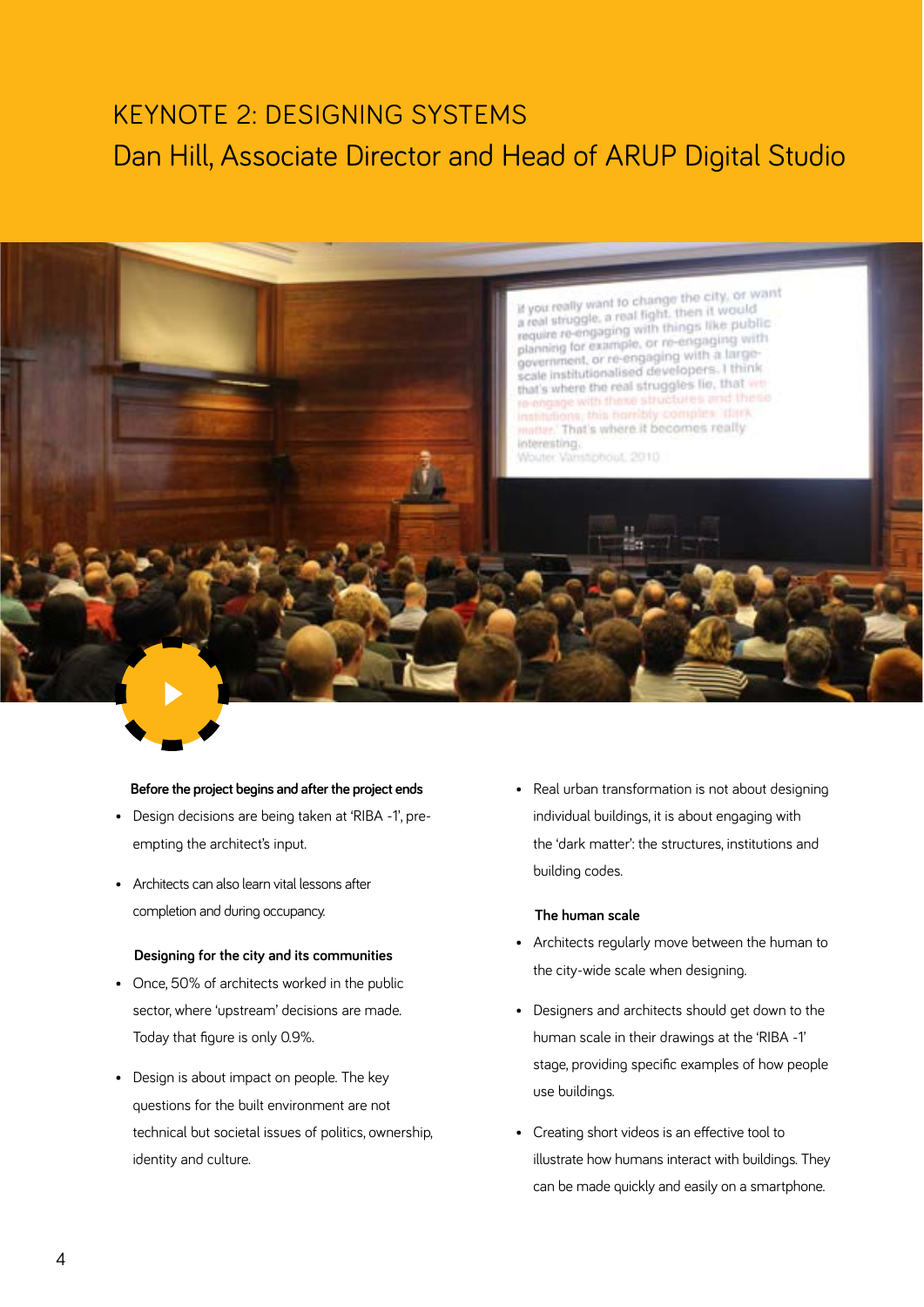# KEYNOTE 2: DESIGNING SYSTEMS Dan Hill, Associate Director and Head of ARUP Digital Studio



#### **Before the project begins and after the project ends**

- Design decisions are being taken at 'RIBA -1', preempting the architect's input.
- Architects can also learn vital lessons after completion and during occupancy.

#### **Designing for the city and its communities**

- Once, 50% of architects worked in the public sector, where 'upstream' decisions are made. Today that figure is only 0.9%.
- Design is about impact on people. The key questions for the built environment are not technical but societal issues of politics, ownership, identity and culture.

• Real urban transformation is not about designing individual buildings, it is about engaging with the 'dark matter': the structures, institutions and building codes.

#### **The human scale**

- Architects regularly move between the human to the city-wide scale when designing.
- Designers and architects should get down to the human scale in their drawings at the 'RIBA -1' stage, providing specific examples of how people use buildings.
- Creating short videos is an effective tool to illustrate how humans interact with buildings. They can be made quickly and easily on a smartphone.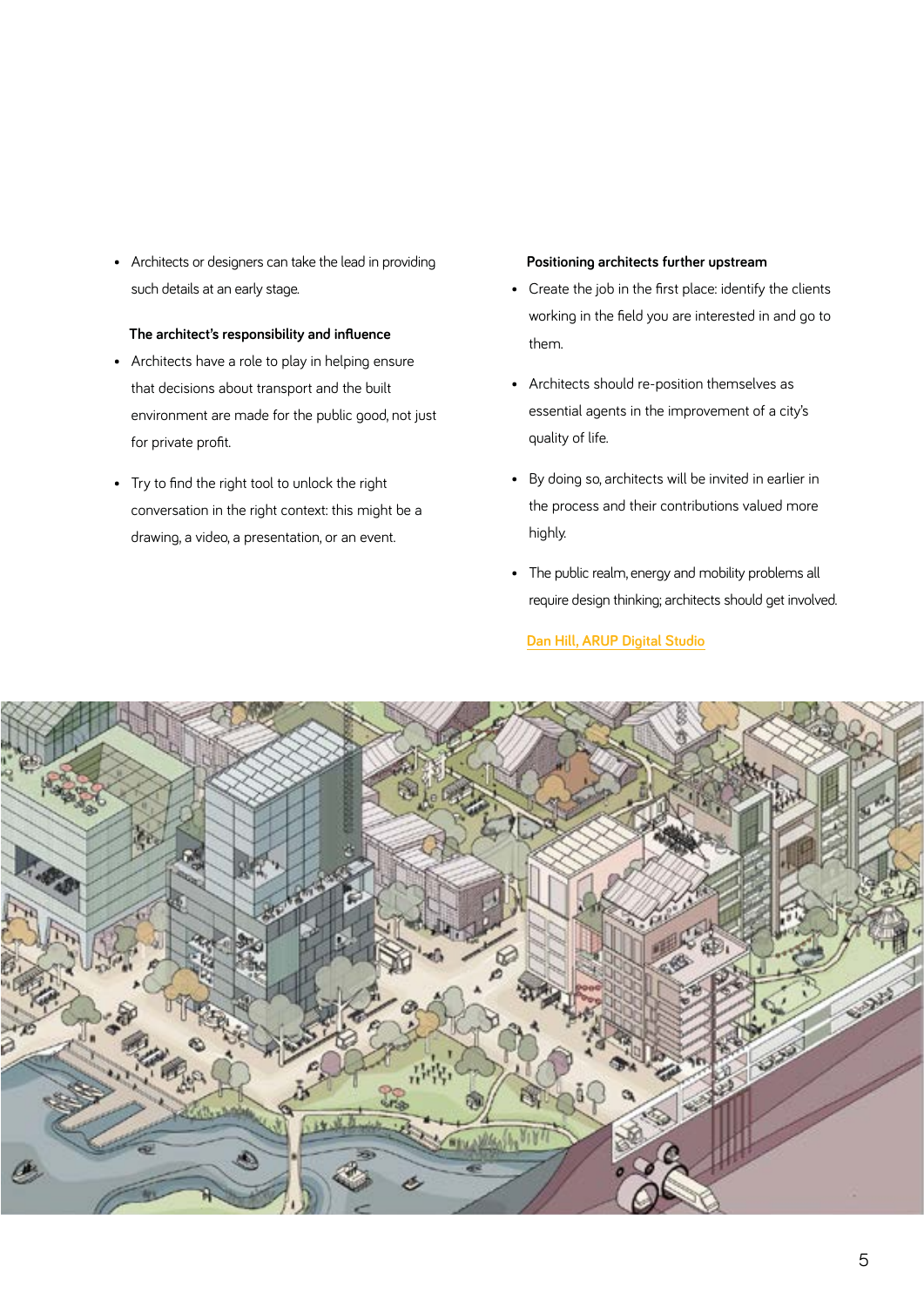• Architects or designers can take the lead in providing such details at an early stage.

#### **The architect's responsibility and influence**

- Architects have a role to play in helping ensure that decisions about transport and the built environment are made for the public good, not just for private profit.
- Try to find the right tool to unlock the right conversation in the right context: this might be a drawing, a video, a presentation, or an event.

#### **Positioning architects further upstream**

- Create the job in the first place: identify the clients working in the field you are interested in and go to them.
- Architects should re-position themselves as essential agents in the improvement of a city's quality of life.
- By doing so, architects will be invited in earlier in the process and their contributions valued more highly.
- The public realm, energy and mobility problems all require design thinking; architects should get involved.

#### **[Dan Hill, ARUP Digital Studio](https://riba.box.com/s/rul6b548u83xncf0jtywnrhdyfr2ie9p)**

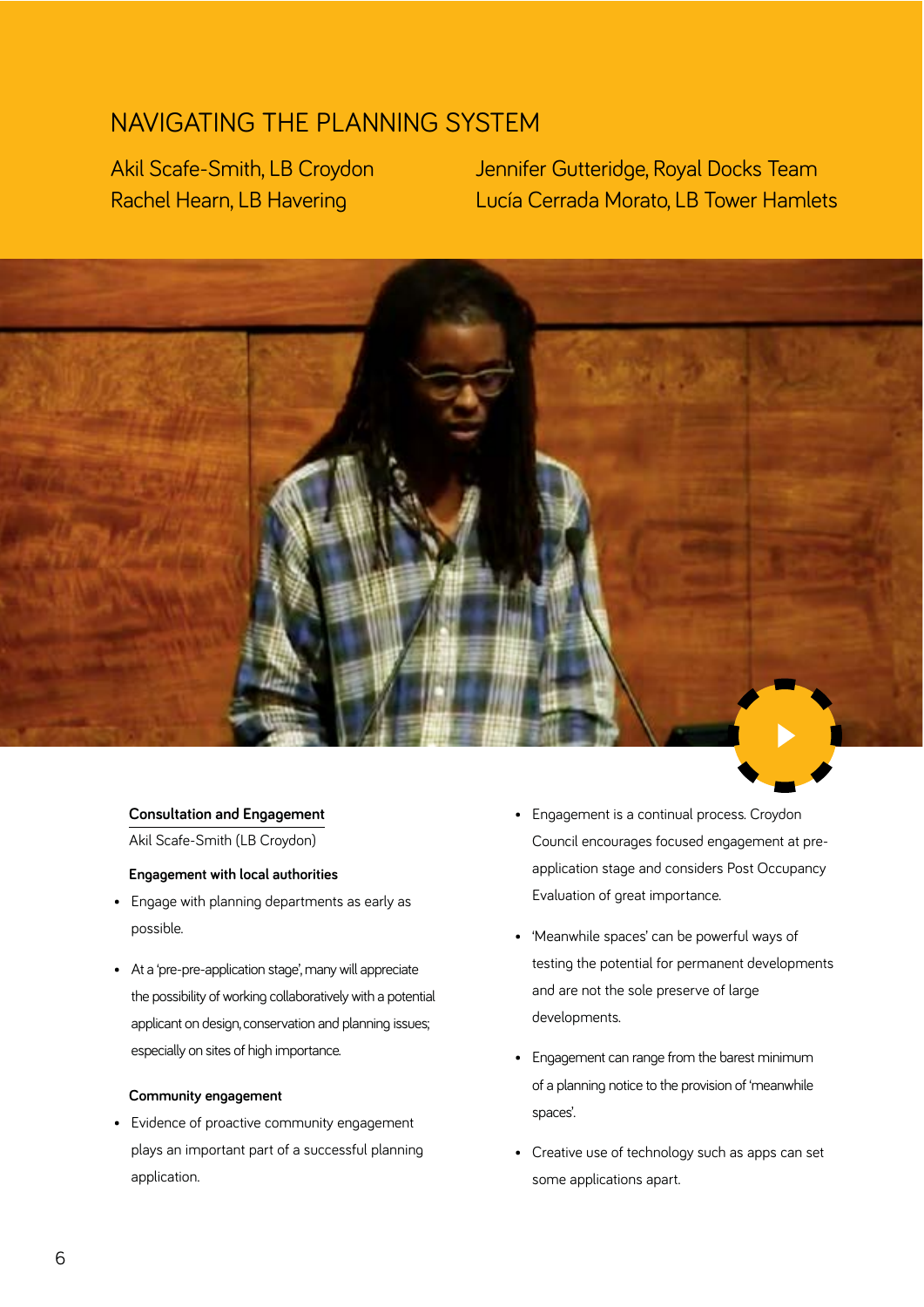### NAVIGATING THE PLANNING SYSTEM

Akil Scafe-Smith, LB Croydon Rachel Hearn, LB Havering

Jennifer Gutteridge, Royal Docks Team Lucía Cerrada Morato, LB Tower Hamlets



#### **Consultation and Engagement**

Akil Scafe-Smith (LB Croydon)

#### **Engagement with local authorities**

- Engage with planning departments as early as possible.
- At a 'pre-pre-application stage', many will appreciate the possibility of working collaboratively with a potential applicant on design, conservation and planning issues; especially on sites of high importance.

#### **Community engagement**

• Evidence of proactive community engagement plays an important part of a successful planning application.

- Engagement is a continual process. Croydon Council encourages focused engagement at preapplication stage and considers Post Occupancy Evaluation of great importance.
- 'Meanwhile spaces' can be powerful ways of testing the potential for permanent developments and are not the sole preserve of large developments.
- Engagement can range from the barest minimum of a planning notice to the provision of 'meanwhile spaces'.
- Creative use of technology such as apps can set some applications apart.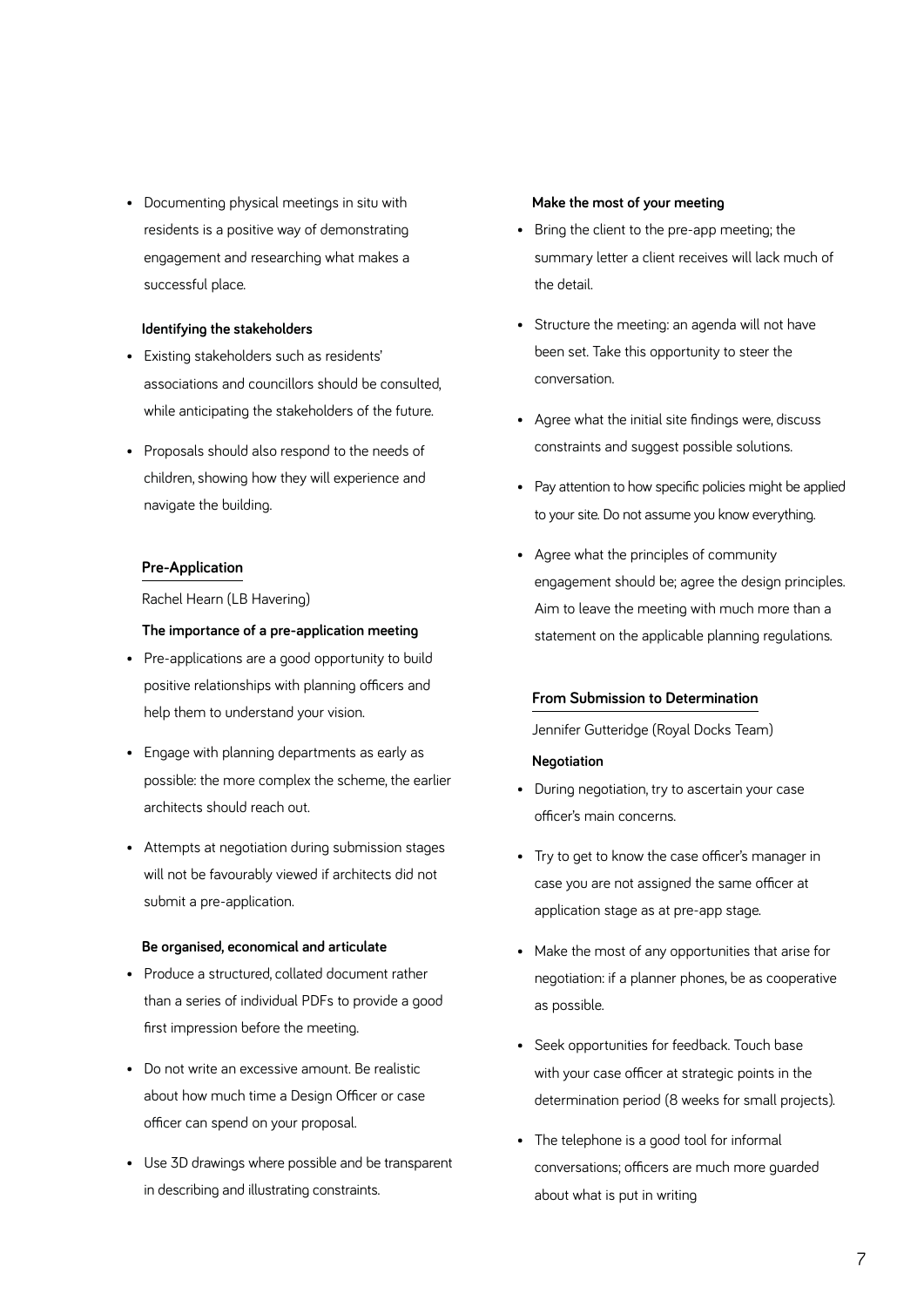• Documenting physical meetings in situ with residents is a positive way of demonstrating engagement and researching what makes a successful place.

#### **Identifying the stakeholders**

- Existing stakeholders such as residents' associations and councillors should be consulted, while anticipating the stakeholders of the future.
- Proposals should also respond to the needs of children, showing how they will experience and navigate the building.

#### **Pre-Application**

Rachel Hearn (LB Havering)

#### **The importance of a pre-application meeting**

- Pre-applications are a good opportunity to build positive relationships with planning officers and help them to understand your vision.
- Engage with planning departments as early as possible: the more complex the scheme, the earlier architects should reach out.
- Attempts at negotiation during submission stages will not be favourably viewed if architects did not submit a pre-application.

#### **Be organised, economical and articulate**

- Produce a structured, collated document rather than a series of individual PDFs to provide a good first impression before the meeting.
- Do not write an excessive amount. Be realistic about how much time a Design Officer or case officer can spend on your proposal.
- Use 3D drawings where possible and be transparent in describing and illustrating constraints.

#### **Make the most of your meeting**

- Bring the client to the pre-app meeting; the summary letter a client receives will lack much of the detail.
- Structure the meeting: an agenda will not have been set. Take this opportunity to steer the conversation.
- Agree what the initial site findings were, discuss constraints and suggest possible solutions.
- Pay attention to how specific policies might be applied to your site. Do not assume you know everything.
- Agree what the principles of community engagement should be; agree the design principles. Aim to leave the meeting with much more than a statement on the applicable planning regulations.

#### **From Submission to Determination**

Jennifer Gutteridge (Royal Docks Team)

#### **Negotiation**

- During negotiation, try to ascertain your case officer's main concerns.
- Try to get to know the case officer's manager in case you are not assigned the same officer at application stage as at pre-app stage.
- Make the most of any opportunities that arise for negotiation: if a planner phones, be as cooperative as possible.
- Seek opportunities for feedback. Touch base with your case officer at strategic points in the determination period (8 weeks for small projects).
- The telephone is a good tool for informal conversations; officers are much more guarded about what is put in writing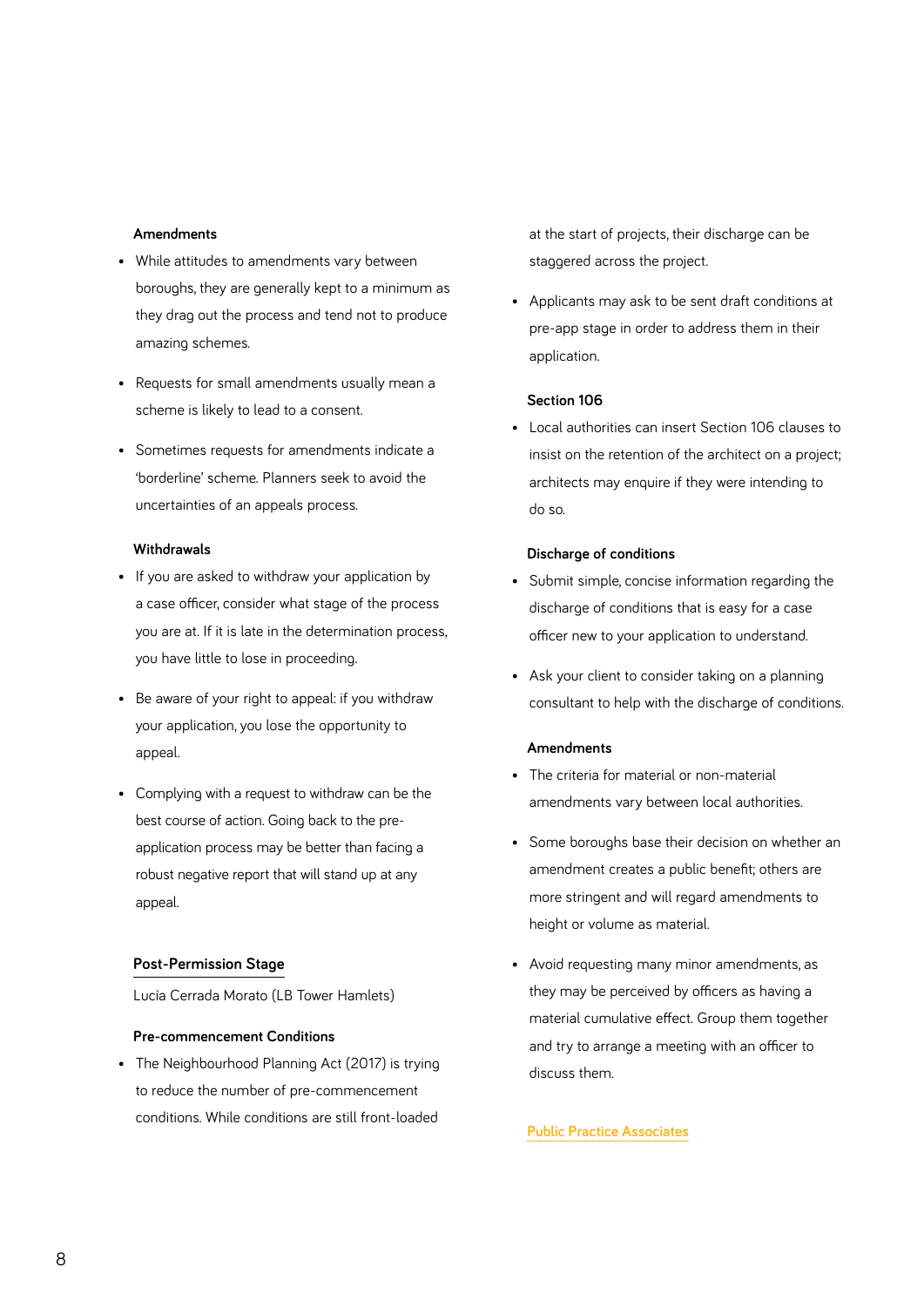#### **Amendments**

- While attitudes to amendments vary between boroughs, they are generally kept to a minimum as they drag out the process and tend not to produce amazing schemes.
- Requests for small amendments usually mean a scheme is likely to lead to a consent.
- Sometimes requests for amendments indicate a 'borderline' scheme. Planners seek to avoid the uncertainties of an appeals process.

#### **Withdrawals**

- If you are asked to withdraw your application by a case officer, consider what stage of the process you are at. If it is late in the determination process, you have little to lose in proceeding.
- Be aware of your right to appeal: if you withdraw your application, you lose the opportunity to appeal.
- Complying with a request to withdraw can be the best course of action. Going back to the preapplication process may be better than facing a robust negative report that will stand up at any appeal.

#### **Post-Permission Stage**

Lucía Cerrada Morato (LB Tower Hamlets)

#### **Pre-commencement Conditions**

• The Neighbourhood Planning Act (2017) is trying to reduce the number of pre-commencement conditions. While conditions are still front-loaded

at the start of projects, their discharge can be staggered across the project.

• Applicants may ask to be sent draft conditions at pre-app stage in order to address them in their application.

#### **Section 106**

• Local authorities can insert Section 106 clauses to insist on the retention of the architect on a project; architects may enquire if they were intending to do so.

#### **Discharge of conditions**

- Submit simple, concise information regarding the discharge of conditions that is easy for a case officer new to your application to understand.
- Ask your client to consider taking on a planning consultant to help with the discharge of conditions.

#### **Amendments**

- The criteria for material or non-material amendments vary between local authorities.
- Some boroughs base their decision on whether an amendment creates a public benefit; others are more stringent and will regard amendments to height or volume as material.
- Avoid requesting many minor amendments, as they may be perceived by officers as having a material cumulative effect. Group them together and try to arrange a meeting with an officer to discuss them.

#### **[Public Practice Associates](https://riba.box.com/s/pu475bql8ts9jsfctge1d85sqd33eah9)**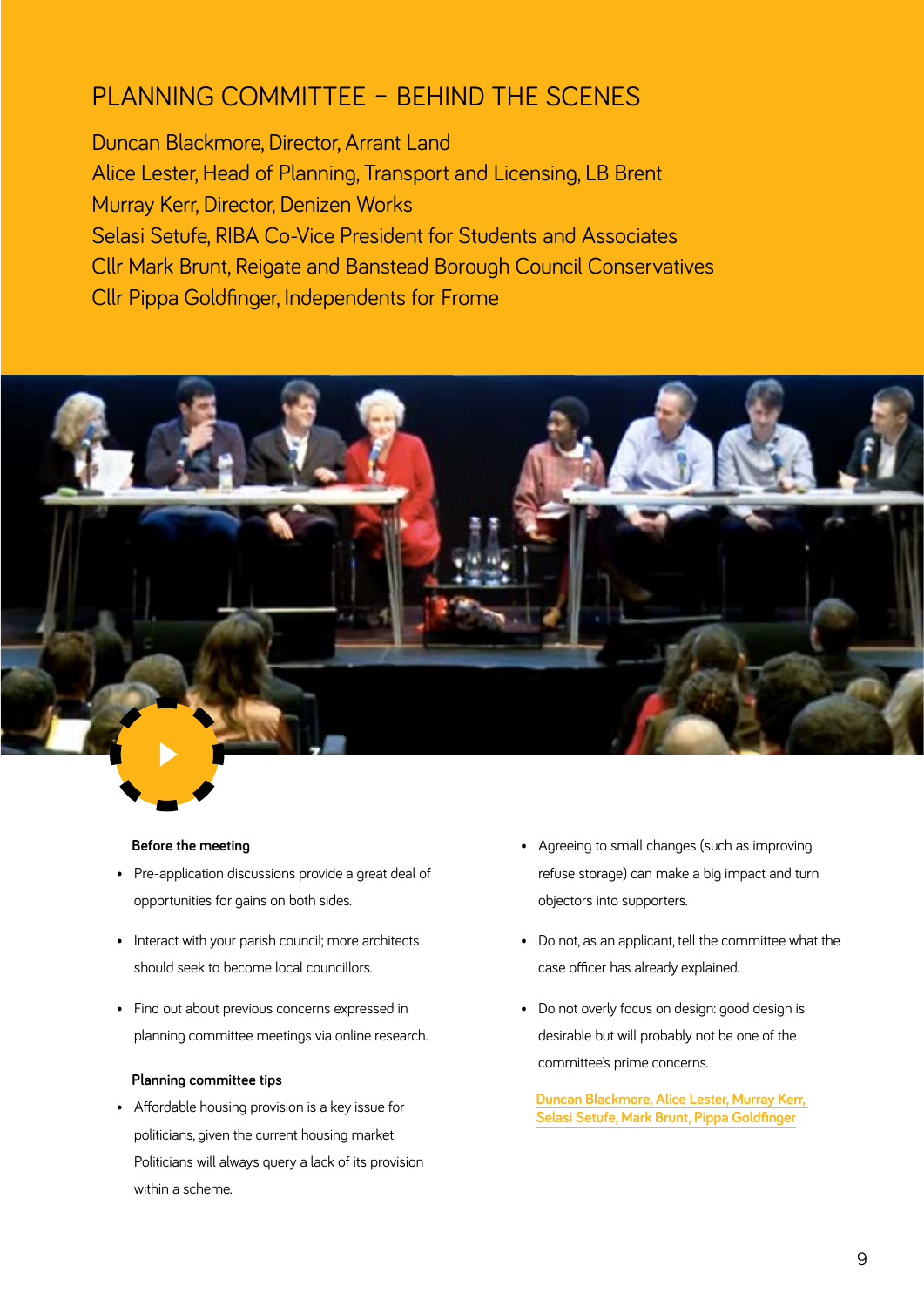# PLANNING COMMITTEE – BEHIND THE SCENES

Duncan Blackmore, Director, Arrant Land Alice Lester, Head of Planning, Transport and Licensing, LB Brent Murray Kerr, Director, Denizen Works Selasi Setufe, RIBA Co-Vice President for Students and Associates Cllr Mark Brunt, Reigate and Banstead Borough Council Conservatives Cllr Pippa Goldfinger, Independents for Frome



#### **Before the meeting**

- Pre-application discussions provide a great deal of opportunities for gains on both sides.
- Interact with your parish council; more architects should seek to become local councillors.
- Find out about previous concerns expressed in planning committee meetings via online research.

#### **Planning committee tips**

• Affordable housing provision is a key issue for politicians, given the current housing market. Politicians will always query a lack of its provision within a scheme.

- Agreeing to small changes (such as improving refuse storage) can make a big impact and turn objectors into supporters.
- Do not, as an applicant, tell the committee what the case officer has already explained.
- Do not overly focus on design: good design is desirable but will probably not be one of the committee's prime concerns.

**[Duncan Blackmore, Alice Lester, Murray Kerr,](https://riba.box.com/s/e5ubv9gv0vvlwl22cdf5esqebrc9u84m)  [Selasi Setufe, Mark Brunt, Pippa Goldfinger](https://riba.box.com/s/e5ubv9gv0vvlwl22cdf5esqebrc9u84m)**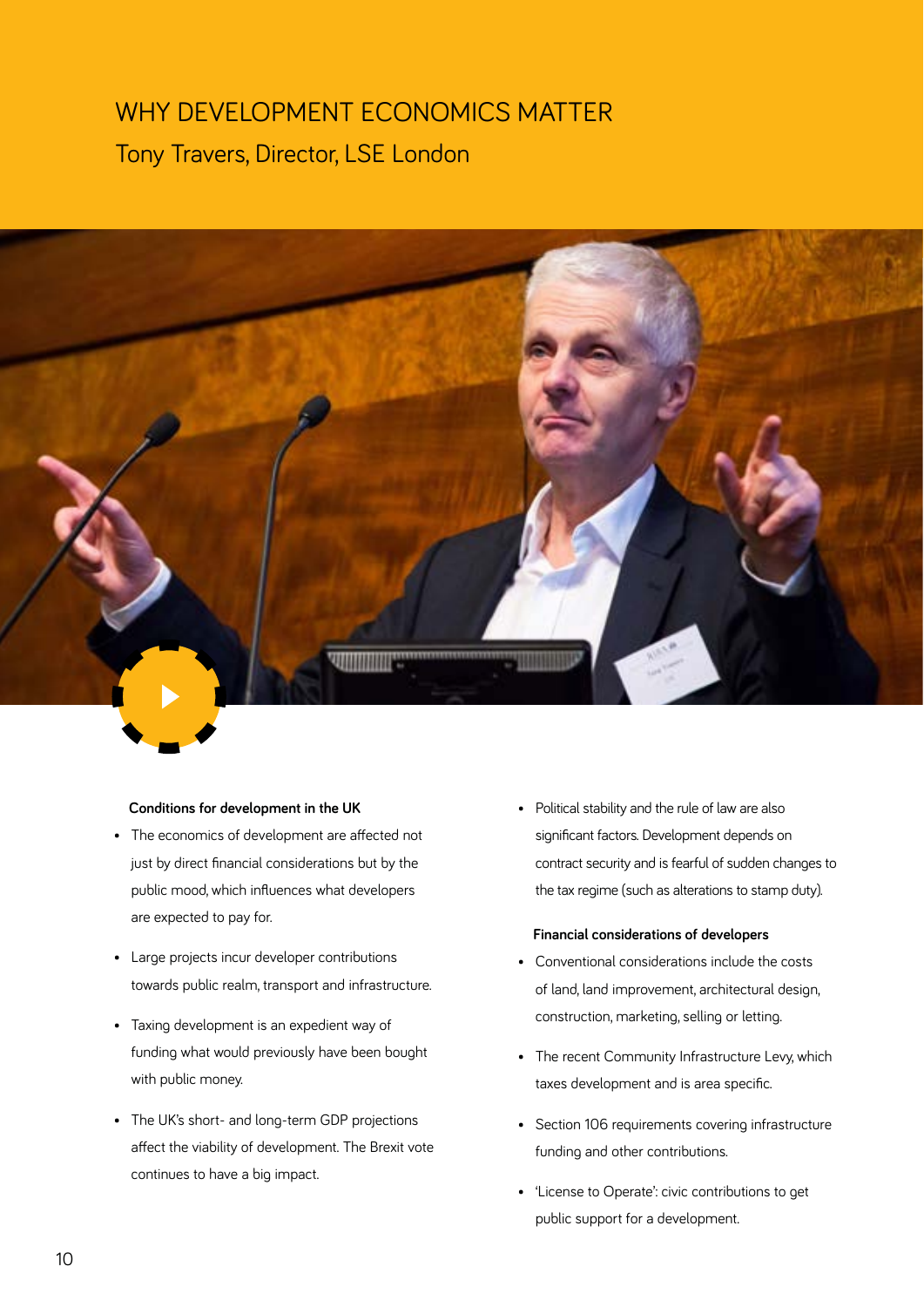# WHY DEVELOPMENT ECONOMICS MATTER Tony Travers, Director, LSE London



#### **Conditions for development in the UK**

- The economics of development are affected not just by direct financial considerations but by the public mood, which influences what developers are expected to pay for.
- Large projects incur developer contributions towards public realm, transport and infrastructure.
- Taxing development is an expedient way of funding what would previously have been bought with public money.
- The UK's short- and long-term GDP projections affect the viability of development. The Brexit vote continues to have a big impact.

• Political stability and the rule of law are also significant factors. Development depends on contract security and is fearful of sudden changes to the tax regime (such as alterations to stamp duty).

#### **Financial considerations of developers**

- Conventional considerations include the costs of land, land improvement, architectural design, construction, marketing, selling or letting.
- The recent Community Infrastructure Levy, which taxes development and is area specific.
- Section 106 requirements covering infrastructure funding and other contributions.
- 'License to Operate': civic contributions to get public support for a development.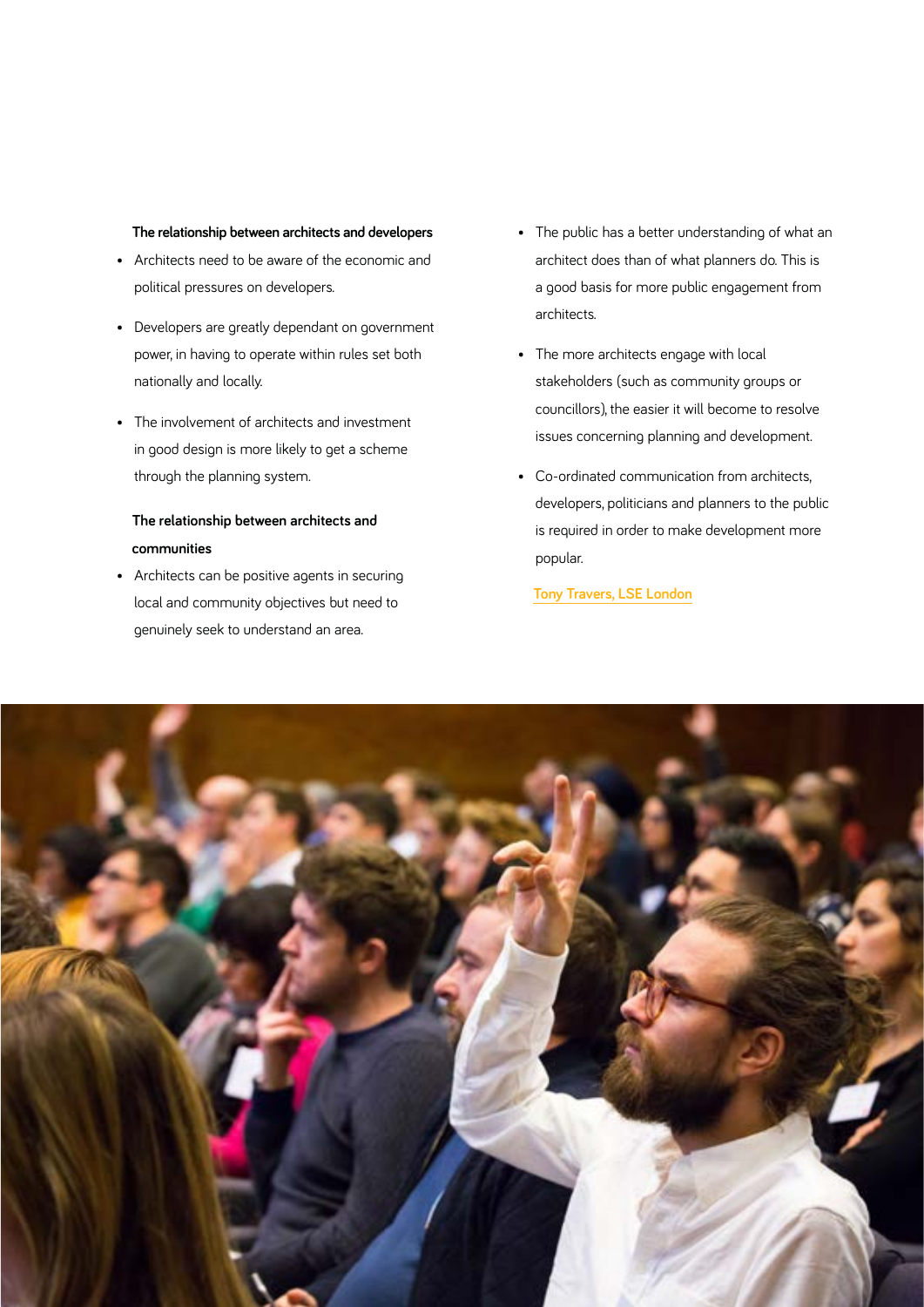#### **The relationship between architects and developers**

- Architects need to be aware of the economic and political pressures on developers.
- Developers are greatly dependant on government power, in having to operate within rules set both nationally and locally.
- The involvement of architects and investment in good design is more likely to get a scheme through the planning system.

#### **The relationship between architects and communities**

• Architects can be positive agents in securing local and community objectives but need to genuinely seek to understand an area.

- The public has a better understanding of what an architect does than of what planners do. This is a good basis for more public engagement from architects.
- The more architects engage with local stakeholders (such as community groups or councillors), the easier it will become to resolve issues concerning planning and development.
- Co-ordinated communication from architects, developers, politicians and planners to the public is required in order to make development more popular.

#### **[Tony Travers, LSE London](https://riba.box.com/s/e99igbm2msdywrh4m15cdgir3yfzsclv)**

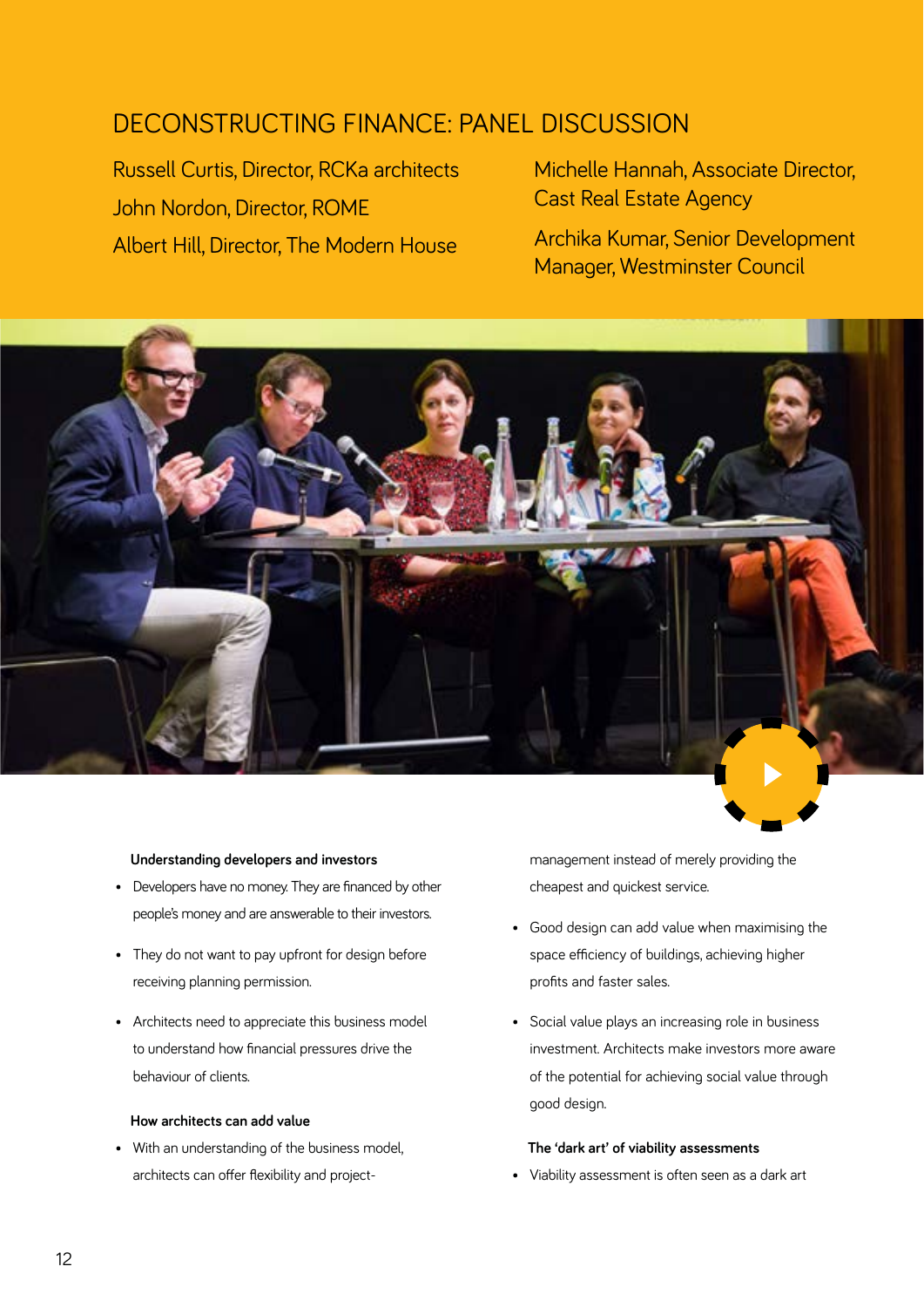#### ner DECONSTRUCTING FINANCE: PANEL DISCUSSION

Russell Curtis, Director, RCKa architects John Nordon, Director, ROME Albert Hill, Director, The Modern House

Michelle Hannah, Associate Director, Cast Real Estate Agency

Archika Kumar, Senior Development Manager, Westminster Council



#### **Understanding developers and investors**

- Developers have no money. They are financed by other people's money and are answerable to their investors.
- They do not want to pay upfront for design before receiving planning permission.
- Architects need to appreciate this business model to understand how financial pressures drive the behaviour of clients.

#### **How architects can add value**

• With an understanding of the business model, architects can offer flexibility and projectmanagement instead of merely providing the cheapest and quickest service.

- Good design can add value when maximising the space efficiency of buildings, achieving higher profits and faster sales.
- Social value plays an increasing role in business investment. Architects make investors more aware of the potential for achieving social value through good design.

#### **The 'dark art' of viability assessments**

• Viability assessment is often seen as a dark art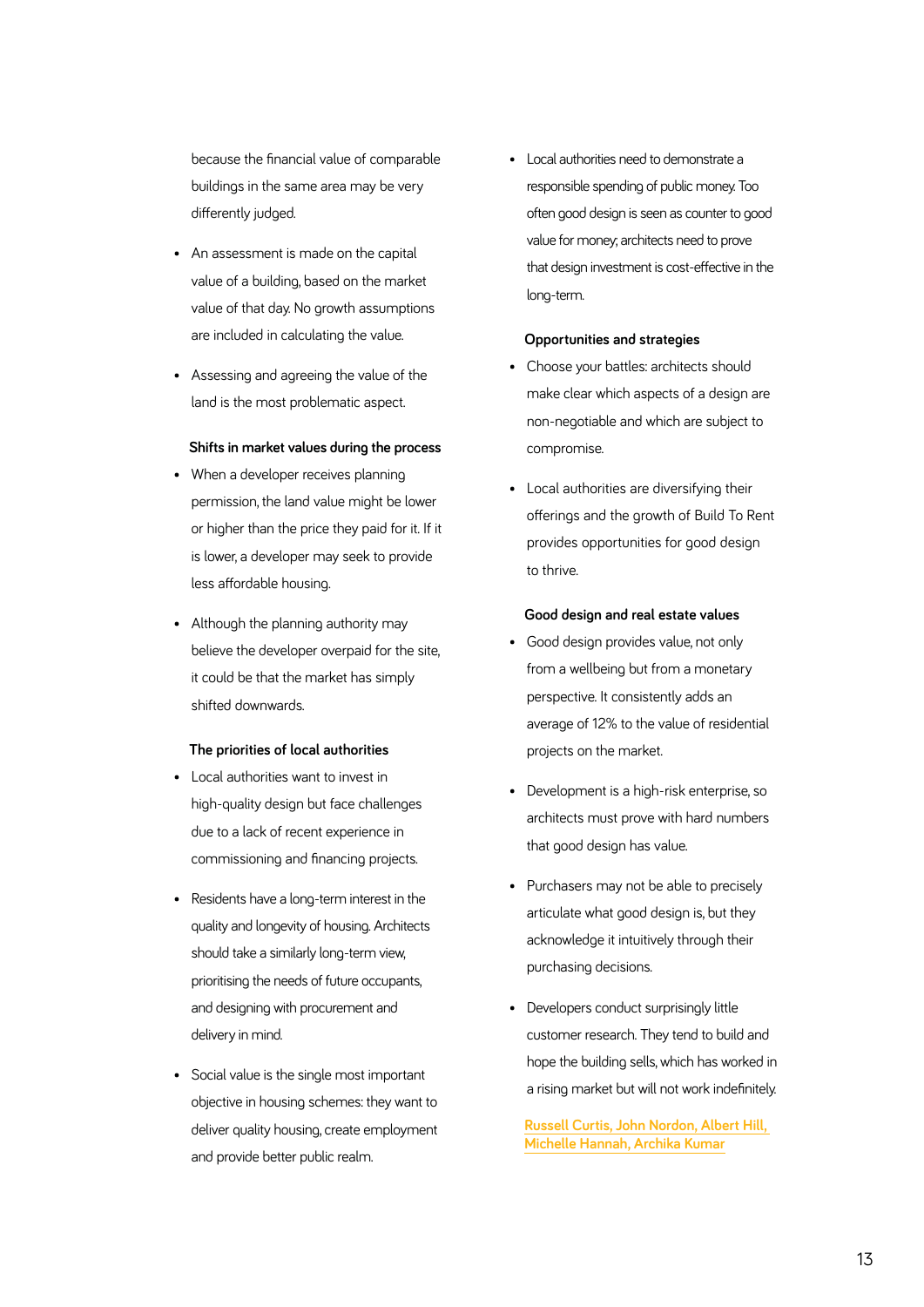because the financial value of comparable buildings in the same area may be very differently judged.

- An assessment is made on the capital value of a building, based on the market value of that day. No growth assumptions are included in calculating the value.
- Assessing and agreeing the value of the land is the most problematic aspect.

#### **Shifts in market values during the process**

- When a developer receives planning permission, the land value might be lower or higher than the price they paid for it. If it is lower, a developer may seek to provide less affordable housing.
- Although the planning authority may believe the developer overpaid for the site, it could be that the market has simply shifted downwards.

#### **The priorities of local authorities**

- Local authorities want to invest in high-quality design but face challenges due to a lack of recent experience in commissioning and financing projects.
- Residents have a long-term interest in the quality and longevity of housing. Architects should take a similarly long-term view, prioritising the needs of future occupants, and designing with procurement and delivery in mind.
- Social value is the single most important objective in housing schemes: they want to deliver quality housing, create employment and provide better public realm.

• Local authorities need to demonstrate a responsible spending of public money. Too often good design is seen as counter to good value for money; architects need to prove that design investment is cost-effective in the long-term.

#### **Opportunities and strategies**

- Choose your battles: architects should make clear which aspects of a design are non-negotiable and which are subject to compromise.
- Local authorities are diversifying their offerings and the growth of Build To Rent provides opportunities for good design to thrive.

#### **Good design and real estate values**

- Good design provides value, not only from a wellbeing but from a monetary perspective. It consistently adds an average of 12% to the value of residential projects on the market.
- Development is a high-risk enterprise, so architects must prove with hard numbers that good design has value.
- Purchasers may not be able to precisely articulate what good design is, but they acknowledge it intuitively through their purchasing decisions.
- Developers conduct surprisingly little customer research. They tend to build and hope the building sells, which has worked in a rising market but will not work indefinitely.

**[Russell Curtis, John Nordon, Albert Hill,](https://riba.box.com/s/n2wso7wnsy9r9e372prrzdf1cwgl2xcz)  [Michelle Hannah, Archika Kumar](https://riba.box.com/s/n2wso7wnsy9r9e372prrzdf1cwgl2xcz)**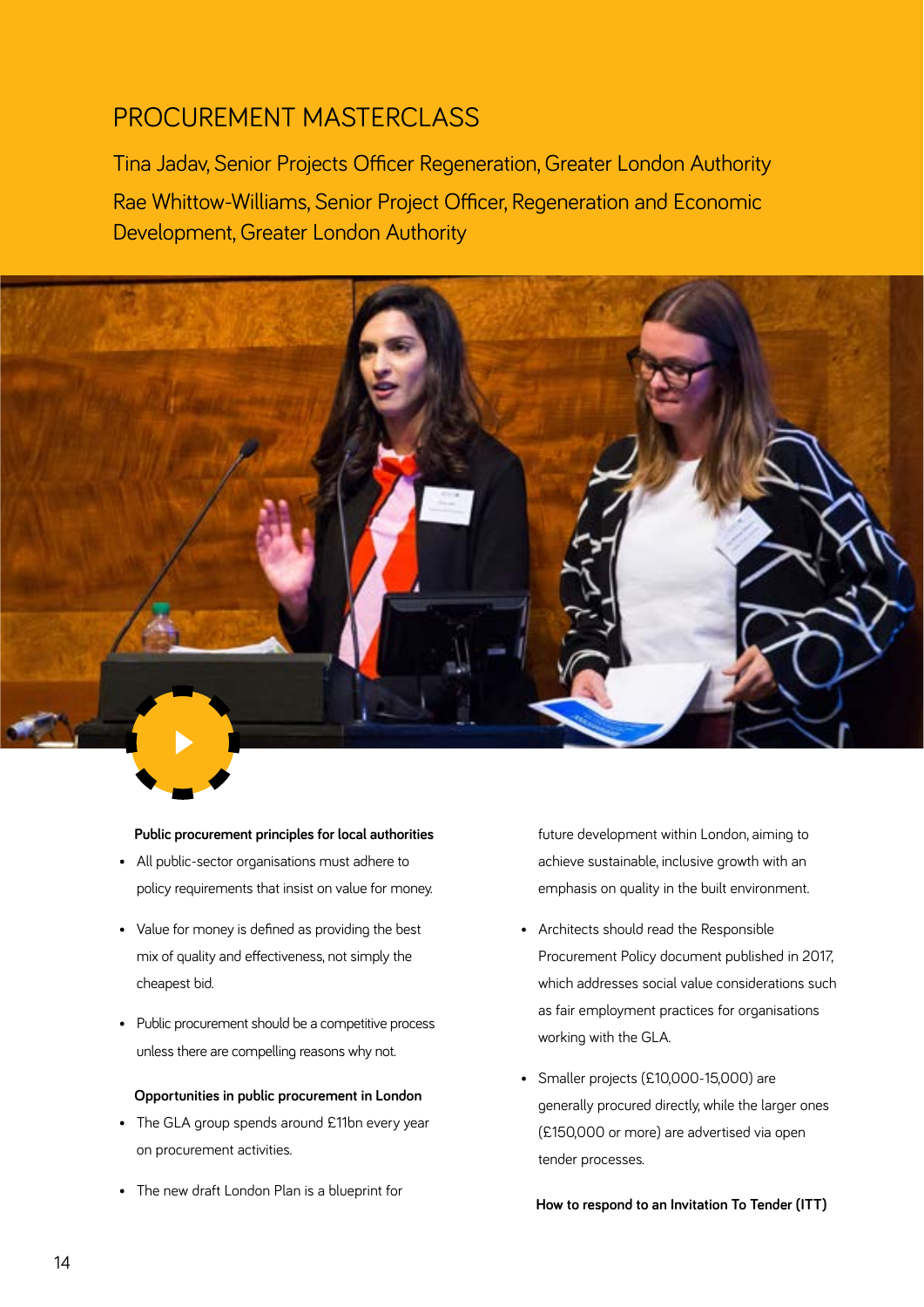## PROCUREMENT MASTERCLASS

Tina Jadav, Senior Projects Officer Regeneration, Greater London Authority Rae Whittow-Williams, Senior Project Officer, Regeneration and Economic Development, Greater London Authority



#### **Public procurement principles for local authorities**

- All public-sector organisations must adhere to policy requirements that insist on value for money.
- Value for money is defined as providing the best mix of quality and effectiveness, not simply the cheapest bid.
- Public procurement should be a competitive process unless there are compelling reasons why not.

#### **Opportunities in public procurement in London**

- The GLA group spends around £11bn every year on procurement activities.
- The new draft London Plan is a blueprint for

future development within London, aiming to achieve sustainable, inclusive growth with an emphasis on quality in the built environment.

- Architects should read the Responsible Procurement Policy document published in 2017, which addresses social value considerations such as fair employment practices for organisations working with the GLA.
- Smaller projects (£10,000-15,000) are generally procured directly, while the larger ones (£150,000 or more) are advertised via open tender processes.

**How to respond to an Invitation To Tender (ITT)**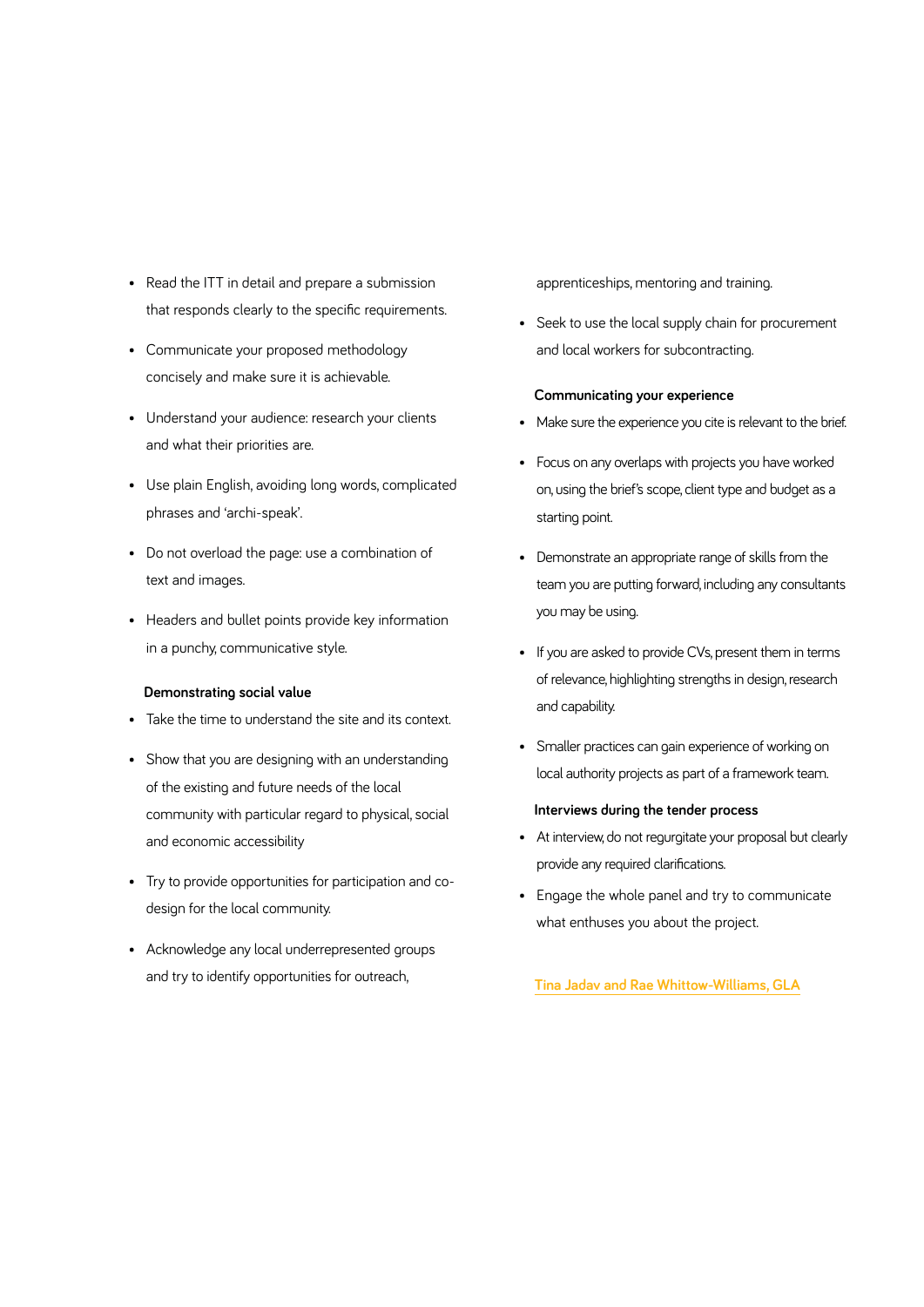- Read the ITT in detail and prepare a submission that responds clearly to the specific requirements.
- Communicate your proposed methodology concisely and make sure it is achievable.
- Understand your audience: research your clients and what their priorities are.
- Use plain English, avoiding long words, complicated phrases and 'archi-speak'.
- Do not overload the page: use a combination of text and images.
- Headers and bullet points provide key information in a punchy, communicative style.

#### **Demonstrating social value**

- Take the time to understand the site and its context.
- Show that you are designing with an understanding of the existing and future needs of the local community with particular regard to physical, social and economic accessibility
- Try to provide opportunities for participation and codesign for the local community.
- Acknowledge any local underrepresented groups and try to identify opportunities for outreach,

apprenticeships, mentoring and training.

• Seek to use the local supply chain for procurement and local workers for subcontracting.

#### **Communicating your experience**

- Make sure the experience you cite is relevant to the brief.
- Focus on any overlaps with projects you have worked on, using the brief's scope, client type and budget as a starting point.
- Demonstrate an appropriate range of skills from the team you are putting forward, including any consultants you may be using.
- If you are asked to provide CVs, present them in terms of relevance, highlighting strengths in design, research and capability.
- Smaller practices can gain experience of working on local authority projects as part of a framework team.

#### **Interviews during the tender process**

- At interview, do not regurgitate your proposal but clearly provide any required clarifications.
- Engage the whole panel and try to communicate what enthuses you about the project[.](https://riba.box.com/s/v39x2f04ru4dz0tpkxzhpbeysvjrnzgt)

**[Tina Jadav and Rae Whittow-Williams, GLA](https://riba.box.com/s/v39x2f04ru4dz0tpkxzhpbeysvjrnzgt)**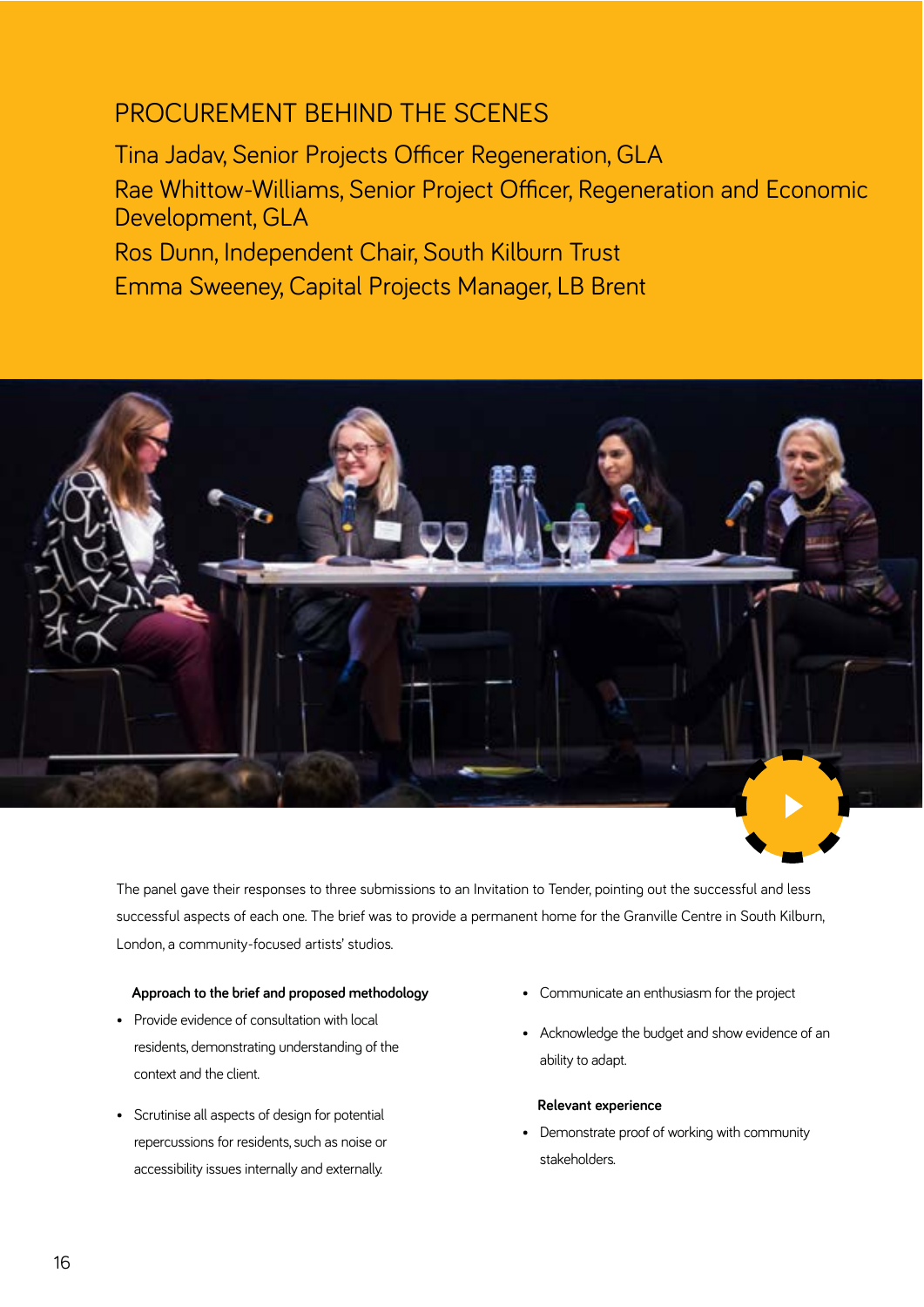### PROCUREMENT BEHIND THE SCENES

Tina Jadav, Senior Projects Officer Regeneration, GLA Rae Whittow-Williams, Senior Project Officer, Regeneration and Economic Development, GLA Ros Dunn, Independent Chair, South Kilburn Trust Emma Sweeney, Capital Projects Manager, LB Brent



The panel gave their responses to three submissions to an Invitation to Tender, pointing out the successful and less successful aspects of each one. The brief was to provide a permanent home for the Granville Centre in South Kilburn, London, a community-focused artists' studios.

#### **Approach to the brief and proposed methodology**

- Provide evidence of consultation with local residents, demonstrating understanding of the context and the client.
- Scrutinise all aspects of design for potential repercussions for residents, such as noise or accessibility issues internally and externally.
- Communicate an enthusiasm for the project
- Acknowledge the budget and show evidence of an ability to adapt.

#### **Relevant experience**

• Demonstrate proof of working with community stakeholders.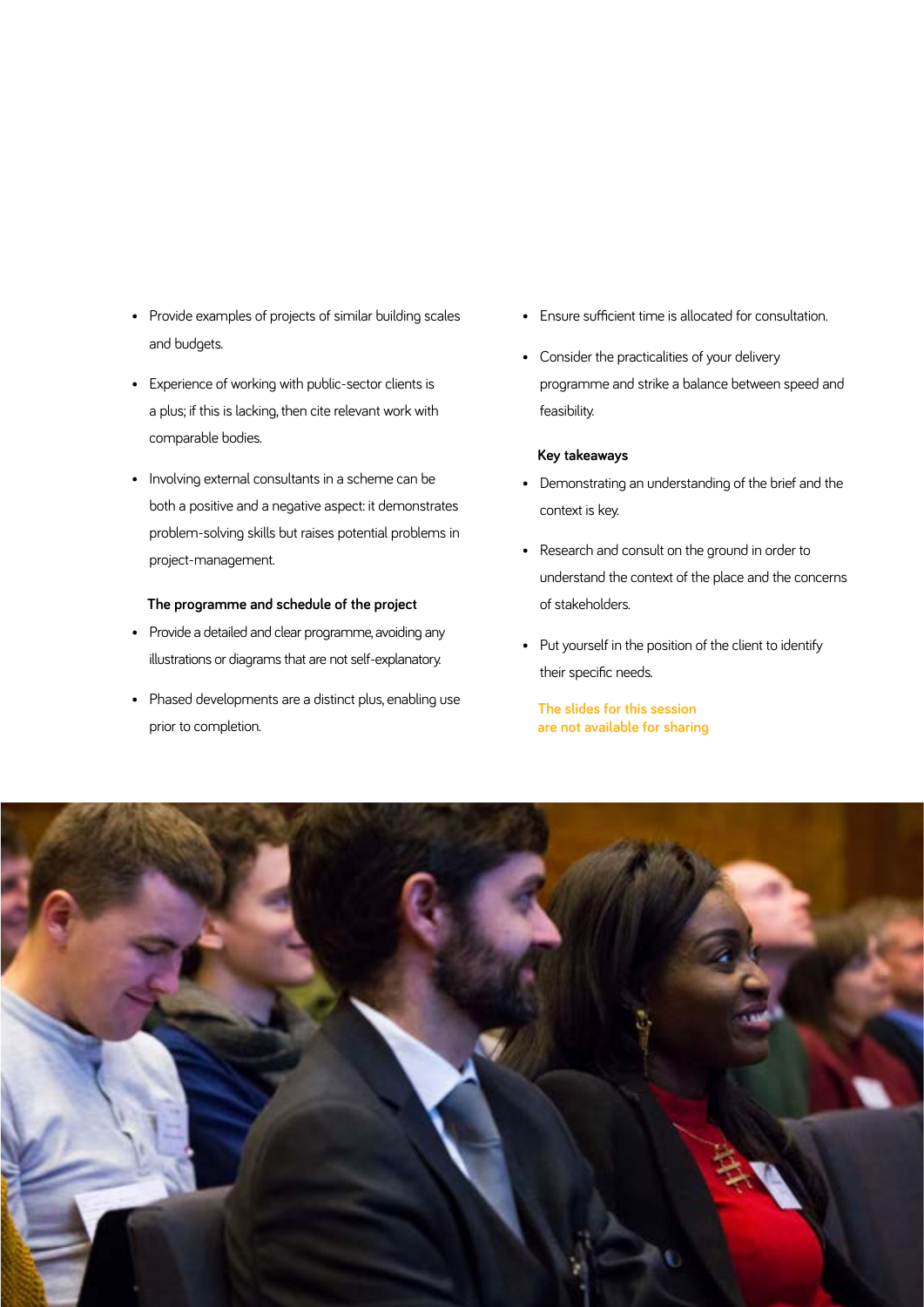- Provide examples of projects of similar building scales and budgets.
- Experience of working with public-sector clients is a plus; if this is lacking, then cite relevant work with comparable bodies.
- Involving external consultants in a scheme can be both a positive and a negative aspect: it demonstrates problem-solving skills but raises potential problems in project-management.

#### **The programme and schedule of the project**

- Provide a detailed and clear programme, avoiding any illustrations or diagrams that are not self-explanatory.
- Phased developments are a distinct plus, enabling use prior to completion.
- Ensure sufficient time is allocated for consultation.
- Consider the practicalities of your delivery programme and strike a balance between speed and feasibility.

#### **Key takeaways**

- Demonstrating an understanding of the brief and the context is key.
- Research and consult on the ground in order to understand the context of the place and the concerns of stakeholders.
- Put yourself in the position of the client to identify their specific needs.

#### **The slides for this session are not available for sharing**